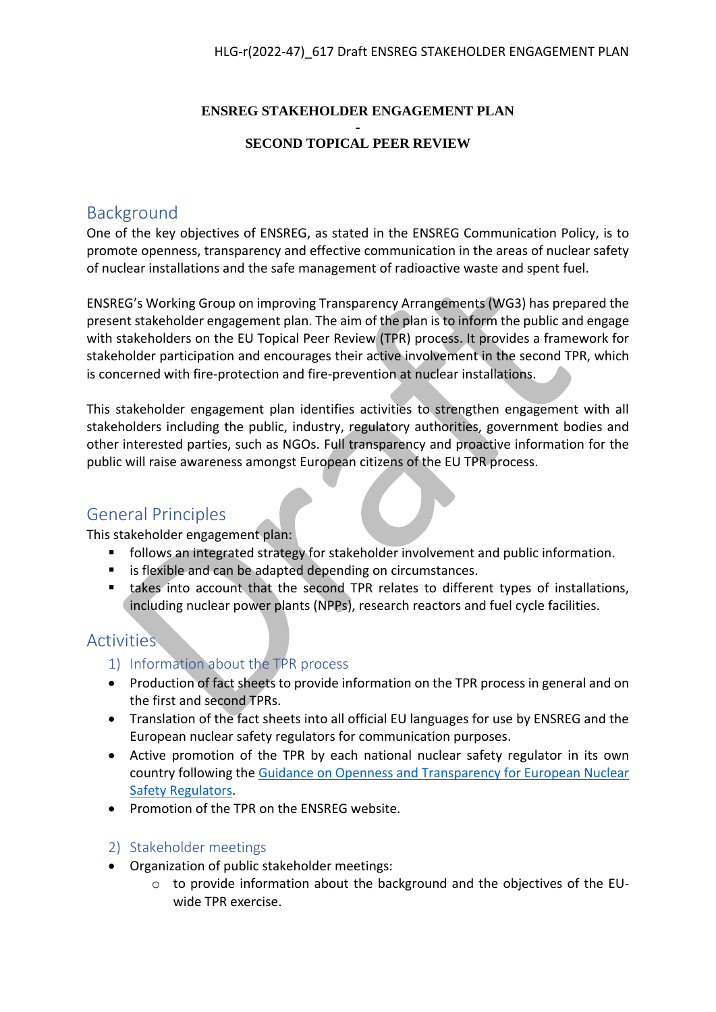#### **ENSREG STAKEHOLDER ENGAGEMENT PLAN**

#### **- SECOND TOPICAL PEER REVIEW**

## Background

One of the key objectives of ENSREG, as stated in the ENSREG Communication Policy, is to promote openness, transparency and effective communication in the areas of nuclear safety of nuclear installations and the safe management of radioactive waste and spent fuel.

ENSREG's Working Group on improving Transparency Arrangements (WG3) has prepared the present stakeholder engagement plan. The aim of the plan is to inform the public and engage with stakeholders on the EU Topical Peer Review (TPR) process. It provides a framework for stakeholder participation and encourages their active involvement in the second TPR, which is concerned with fire-protection and fire-prevention at nuclear installations.

This stakeholder engagement plan identifies activities to strengthen engagement with all stakeholders including the public, industry, regulatory authorities, government bodies and other interested parties, such as NGOs. Full transparency and proactive information for the public will raise awareness amongst European citizens of the EU TPR process.

### General Principles

This stakeholder engagement plan:

- follows an integrated strategy for stakeholder involvement and public information.
- **EXICT:** is flexible and can be adapted depending on circumstances.
- takes into account that the second TPR relates to different types of installations, including nuclear power plants (NPPs), research reactors and fuel cycle facilities.

### Activities

- 1) Information about the TPR process
- Production of fact sheets to provide information on the TPR process in general and on the first and second TPRs.
- Translation of the fact sheets into all official EU languages for use by ENSREG and the European nuclear safety regulators for communication purposes.
- Active promotion of the TPR by each national nuclear safety regulator in its own country following the [Guidance on Openness and Transparency for European Nuclear](http://www.ensreg.eu/document/guidance-regulators-openness-and-transparency-update)  [Safety Regulators.](http://www.ensreg.eu/document/guidance-regulators-openness-and-transparency-update)
- Promotion of the TPR on the ENSREG website.

### 2) Stakeholder meetings

- Organization of public stakeholder meetings:
	- $\circ$  to provide information about the background and the objectives of the EUwide TPR exercise.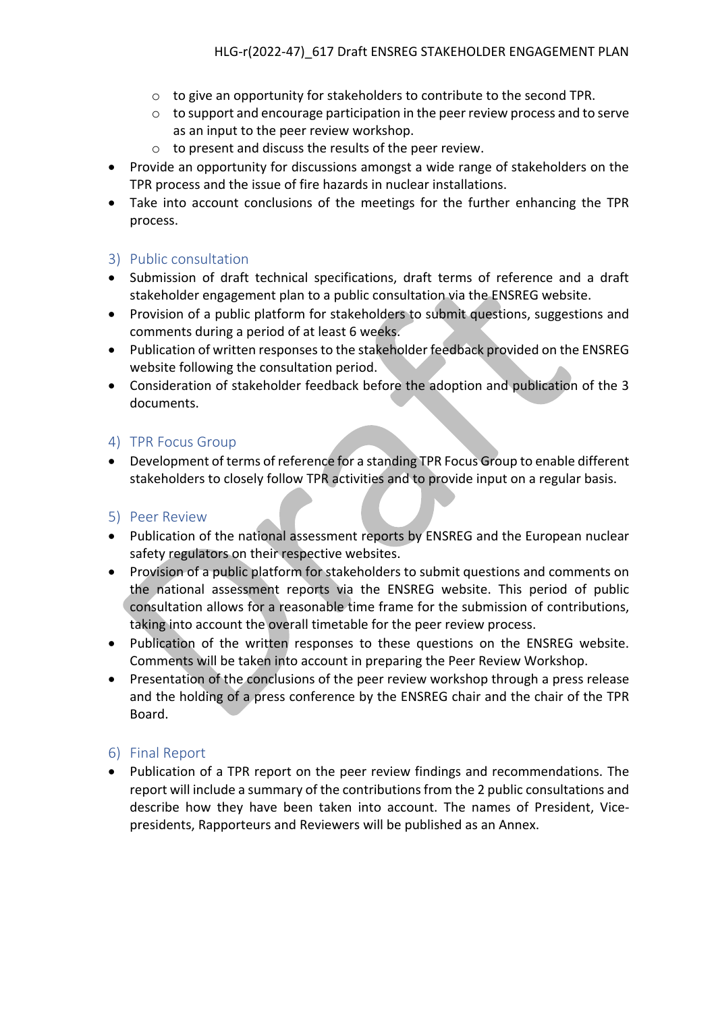- o to give an opportunity for stakeholders to contribute to the second TPR.
- o to support and encourage participation in the peer review process and to serve as an input to the peer review workshop.
- o to present and discuss the results of the peer review.
- Provide an opportunity for discussions amongst a wide range of stakeholders on the TPR process and the issue of fire hazards in nuclear installations.
- Take into account conclusions of the meetings for the further enhancing the TPR process.

#### 3) Public consultation

- Submission of draft technical specifications, draft terms of reference and a draft stakeholder engagement plan to a public consultation via the ENSREG website.
- Provision of a public platform for stakeholders to submit questions, suggestions and comments during a period of at least 6 weeks.
- Publication of written responses to the stakeholder feedback provided on the ENSREG website following the consultation period.
- Consideration of stakeholder feedback before the adoption and publication of the 3 documents.

#### 4) TPR Focus Group

 Development of terms of reference for a standing TPR Focus Group to enable different stakeholders to closely follow TPR activities and to provide input on a regular basis.

#### 5) Peer Review

- Publication of the national assessment reports by ENSREG and the European nuclear safety regulators on their respective websites.
- Provision of a public platform for stakeholders to submit questions and comments on the national assessment reports via the ENSREG website. This period of public consultation allows for a reasonable time frame for the submission of contributions, taking into account the overall timetable for the peer review process.
- Publication of the written responses to these questions on the ENSREG website. Comments will be taken into account in preparing the Peer Review Workshop.
- Presentation of the conclusions of the peer review workshop through a press release and the holding of a press conference by the ENSREG chair and the chair of the TPR Board.

#### 6) Final Report

 Publication of a TPR report on the peer review findings and recommendations. The report will include a summary of the contributions from the 2 public consultations and describe how they have been taken into account. The names of President, Vicepresidents, Rapporteurs and Reviewers will be published as an Annex.